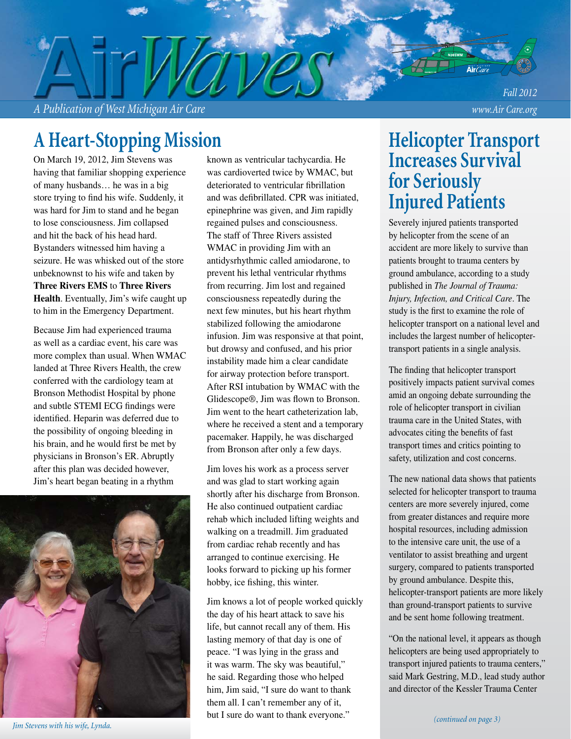*A Publication of West Michigan Air Care www.Air Care.org*

## **A Heart-Stopping Mission**

On March 19, 2012, Jim Stevens was having that familiar shopping experience of many husbands… he was in a big store trying to find his wife. Suddenly, it was hard for Jim to stand and he began to lose consciousness. Jim collapsed and hit the back of his head hard. Bystanders witnessed him having a seizure. He was whisked out of the store unbeknownst to his wife and taken by **Three Rivers EMS** to **Three Rivers Health**. Eventually, Jim's wife caught up to him in the Emergency Department.

Because Jim had experienced trauma as well as a cardiac event, his care was more complex than usual. When WMAC landed at Three Rivers Health, the crew conferred with the cardiology team at Bronson Methodist Hospital by phone and subtle STEMI ECG findings were identified. Heparin was deferred due to the possibility of ongoing bleeding in his brain, and he would first be met by physicians in Bronson's ER. Abruptly after this plan was decided however, Jim's heart began beating in a rhythm



known as ventricular tachycardia. He was cardioverted twice by WMAC, but deteriorated to ventricular fibrillation and was defibrillated. CPR was initiated, epinephrine was given, and Jim rapidly regained pulses and consciousness. The staff of Three Rivers assisted WMAC in providing Jim with an antidysrhythmic called amiodarone, to prevent his lethal ventricular rhythms from recurring. Jim lost and regained consciousness repeatedly during the next few minutes, but his heart rhythm stabilized following the amiodarone infusion. Jim was responsive at that point, but drowsy and confused, and his prior instability made him a clear candidate for airway protection before transport. After RSI intubation by WMAC with the Glidescope®, Jim was flown to Bronson. Jim went to the heart catheterization lab, where he received a stent and a temporary pacemaker. Happily, he was discharged from Bronson after only a few days.

Jim loves his work as a process server and was glad to start working again shortly after his discharge from Bronson. He also continued outpatient cardiac rehab which included lifting weights and walking on a treadmill. Jim graduated from cardiac rehab recently and has arranged to continue exercising. He looks forward to picking up his former hobby, ice fishing, this winter.

Jim knows a lot of people worked quickly the day of his heart attack to save his life, but cannot recall any of them. His lasting memory of that day is one of peace. "I was lying in the grass and it was warm. The sky was beautiful," he said. Regarding those who helped him, Jim said, "I sure do want to thank them all. I can't remember any of it, but I sure do want to thank everyone."

## **Helicopter Transport Increases Survival for Seriously Injured Patients**

*Fall 2012*

Severely injured patients transported by helicopter from the scene of an accident are more likely to survive than patients brought to trauma centers by ground ambulance, according to a study published in *The Journal of Trauma: Injury, Infection, and Critical Care*. The study is the first to examine the role of helicopter transport on a national level and includes the largest number of helicoptertransport patients in a single analysis.

The finding that helicopter transport positively impacts patient survival comes amid an ongoing debate surrounding the role of helicopter transport in civilian trauma care in the United States, with advocates citing the benefits of fast transport times and critics pointing to safety, utilization and cost concerns.

The new national data shows that patients selected for helicopter transport to trauma centers are more severely injured, come from greater distances and require more hospital resources, including admission to the intensive care unit, the use of a ventilator to assist breathing and urgent surgery, compared to patients transported by ground ambulance. Despite this, helicopter-transport patients are more likely than ground-transport patients to survive and be sent home following treatment.

"On the national level, it appears as though helicopters are being used appropriately to transport injured patients to trauma centers," said Mark Gestring, M.D., lead study author and director of the Kessler Trauma Center

*Jim Stevens with his wife, Lynda.*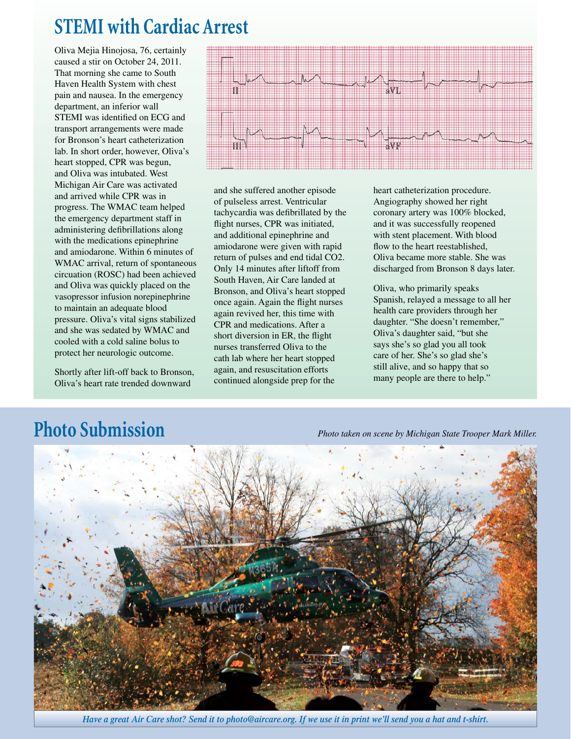# **STEMI with Cardiac Arrest**

Oliva Mejia Hinojosa, 76, certainly caused a stir on October 24, 2011. That morning she came to South Haven Health System with chest pain and nausea. In the emergency department, an inferior wall STEMI was identified on ECG and transport arrangements were made for Bronson's heart catheterization lab. In short order, however, Oliva's heart stopped, CPR was begun, and Oliva was intubated. West Michigan Air Care was activated and arrived while CPR was in progress. The WMAC team helped the emergency department staff in administering defibrillations along with the medications epinephrine and amiodarone. Within 6 minutes of WMAC arrival, return of spontaneous circuation (ROSC) had been achieved and Oliva was quickly placed on the vasopressor infusion norepinephrine to maintain an adequate blood pressure. Oliva's vital signs stabilized and she was sedated by WMAC and cooled with a cold saline bolus to protect her neurologic outcome.

Shortly after lift-off back to Bronson, Oliva's heart rate trended downward



and she suffered another episode of pulseless arrest. Ventricular tachycardia was defibrillated by the flight nurses, CPR was initiated, and additional epinephrine and amiodarone were given with rapid return of pulses and end tidal CO2. Only 14 minutes after liftoff from South Haven, Air Care landed at Bronson, and Oliva's heart stopped once again. Again the flight nurses again revived her, this time with CPR and medications. After a short diversion in ER, the flight nurses transferred Oliva to the cath lab where her heart stopped again, and resuscitation efforts continued alongside prep for the

heart catheterization procedure. Angiography showed her right coronary artery was 100% blocked, and it was successfully reopened with stent placement. With blood flow to the heart reestablished, Oliva became more stable. She was discharged from Bronson 8 days later.

Oliva, who primarily speaks Spanish, relayed a message to all her health care providers through her daughter. "She doesn't remember," Oliva's daughter said, "but she says she's so glad you all took care of her. She's so glad she's still alive, and so happy that so many people are there to help."

# **Photo Submission** *Photo taken on scene by Michigan State Trooper Mark Miller.*



*Have a great Air Care shot? Send it to photo@aircare.org. If we use it in print we'll send you a hat and t-shirt.*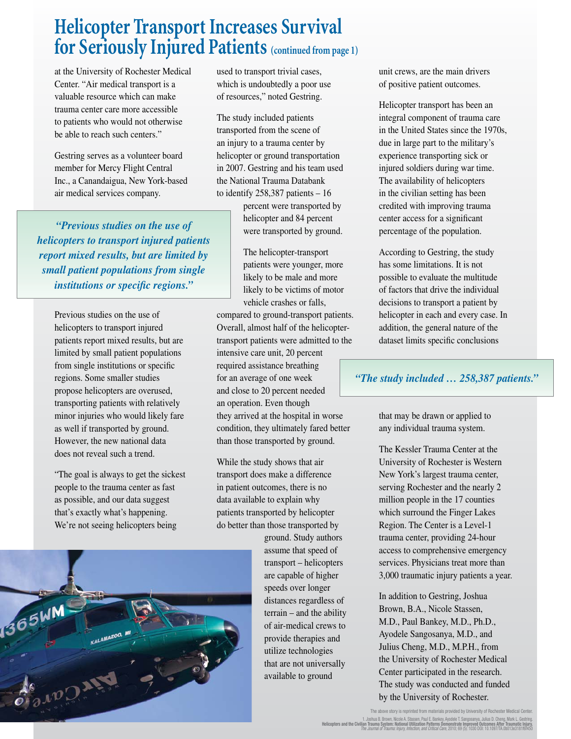## **Helicopter Transport Increases Survival for Seriously Injured Patients (continued from page 1)**

at the University of Rochester Medical Center. "Air medical transport is a valuable resource which can make trauma center care more accessible to patients who would not otherwise be able to reach such centers."

Gestring serves as a volunteer board member for Mercy Flight Central Inc., a Canandaigua, New York-based air medical services company.

*"Previous studies on the use of helicopters to transport injured patients report mixed results, but are limited by small patient populations from single institutions or specific regions."* 

Previous studies on the use of helicopters to transport injured patients report mixed results, but are limited by small patient populations from single institutions or specific regions. Some smaller studies propose helicopters are overused, transporting patients with relatively minor injuries who would likely fare as well if transported by ground. However, the new national data does not reveal such a trend.

"The goal is always to get the sickest people to the trauma center as fast as possible, and our data suggest that's exactly what's happening. We're not seeing helicopters being

used to transport trivial cases, which is undoubtedly a poor use of resources," noted Gestring.

The study included patients transported from the scene of an injury to a trauma center by helicopter or ground transportation in 2007. Gestring and his team used the National Trauma Databank to identify 258,387 patients – 16

> percent were transported by helicopter and 84 percent were transported by ground.

The helicopter-transport patients were younger, more likely to be male and more likely to be victims of motor vehicle crashes or falls, compared to ground-transport patients. Overall, almost half of the helicoptertransport patients were admitted to the intensive care unit, 20 percent required assistance breathing for an average of one week and close to 20 percent needed an operation. Even though they arrived at the hospital in worse condition, they ultimately fared better than those transported by ground.

While the study shows that air transport does make a difference in patient outcomes, there is no data available to explain why patients transported by helicopter do better than those transported by

ground. Study authors assume that speed of transport – helicopters are capable of higher speeds over longer distances regardless of terrain – and the ability of air-medical crews to provide therapies and utilize technologies that are not universally available to ground

unit crews, are the main drivers of positive patient outcomes.

Helicopter transport has been an integral component of trauma care in the United States since the 1970s, due in large part to the military's experience transporting sick or injured soldiers during war time. The availability of helicopters in the civilian setting has been credited with improving trauma center access for a significant percentage of the population.

According to Gestring, the study has some limitations. It is not possible to evaluate the multitude of factors that drive the individual decisions to transport a patient by helicopter in each and every case. In addition, the general nature of the dataset limits specific conclusions

#### *"The study included … 258,387 patients."*

that may be drawn or applied to any individual trauma system.

The Kessler Trauma Center at the University of Rochester is Western New York's largest trauma center, serving Rochester and the nearly 2 million people in the 17 counties which surround the Finger Lakes Region. The Center is a Level-1 trauma center, providing 24-hour access to comprehensive emergency services. Physicians treat more than 3,000 traumatic injury patients a year.

In addition to Gestring, Joshua Brown, B.A., Nicole Stassen, M.D., Paul Bankey, M.D., Ph.D., Ayodele Sangosanya, M.D., and Julius Cheng, M.D., M.P.H., from the University of Rochester Medical Center participated in the research. The study was conducted and funded by the University of Rochester.